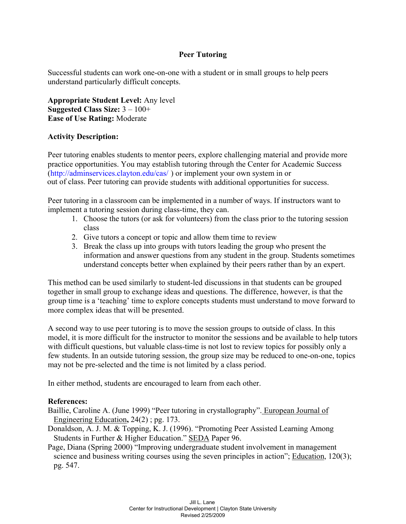## **Peer Tutoring**

Successful students can work one-on-one with a student or in small groups to help peers understand particularly difficult concepts.

**Appropriate Student Level:** Any level **Suggested Class Size:** 3 – 100+ **Ease of Use Rating:** Moderate

## **Activity Description:**

Peer tutoring enables students to mentor peers, explore challenging material and provide more practice opportunities. You may establish tutoring through the Center for Academic Success (http://adminservices.clayton.edu/cas/ ) or implement your own system in or out of class. Peer tutoring can provide students with additional opportunities for success.

Peer tutoring in a classroom can be implemented in a number of ways. If instructors want to implement a tutoring session during class-time, they can.

- 1. Choose the tutors (or ask for volunteers) from the class prior to the tutoring session class
- 2. Give tutors a concept or topic and allow them time to review
- 3. Break the class up into groups with tutors leading the group who present the information and answer questions from any student in the group. Students sometimes understand concepts better when explained by their peers rather than by an expert.

This method can be used similarly to student-led discussions in that students can be grouped together in small group to exchange ideas and questions. The difference, however, is that the group time is a 'teaching' time to explore concepts students must understand to move forward to more complex ideas that will be presented.

A second way to use peer tutoring is to move the session groups to outside of class. In this model, it is more difficult for the instructor to monitor the sessions and be available to help tutors with difficult questions, but valuable class-time is not lost to review topics for possibly only a few students. In an outside tutoring session, the group size may be reduced to one-on-one, topics may not be pre-selected and the time is not limited by a class period.

In either method, students are encouraged to learn from each other.

## **References:**

Baillie, Caroline A. (June 1999) "Peer tutoring in crystallography". European Journal of Engineering Education**,** 24(2) ; pg. 173.

- Donaldson, A. J. M. & Topping, K. J. (1996). "Promoting Peer Assisted Learning Among Students in Further & Higher Education." SEDA Paper 96.
- Page, Diana (Spring 2000) "Improving undergraduate student involvement in management science and business writing courses using the seven principles in action"; Education, 120(3); pg. 547.